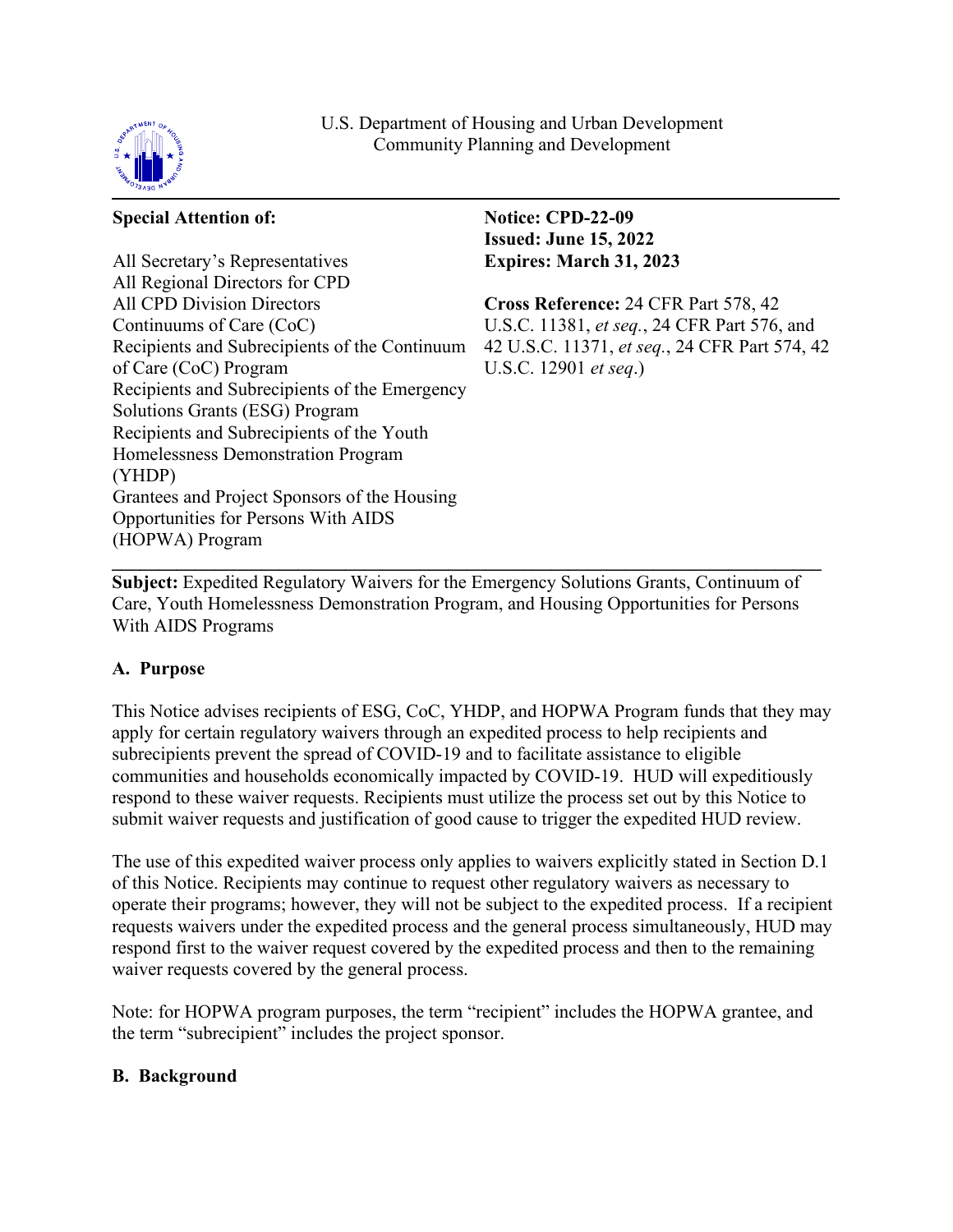

U.S. Department of Housing and Urban Development Community Planning and Development

### **Special Attention of:**

All Secretary's Representatives All Regional Directors for CPD All CPD Division Directors Continuums of Care (CoC) Recipients and Subrecipients of the Continuum of Care (CoC) Program Recipients and Subrecipients of the Emergency Solutions Grants (ESG) Program Recipients and Subrecipients of the Youth Homelessness Demonstration Program (YHDP) Grantees and Project Sponsors of the Housing Opportunities for Persons With AIDS (HOPWA) Program

**Notice: CPD-22-09 Issued: June 15, 2022 Expires: March 31, 2023** 

**Cross Reference:** 24 CFR Part 578, 42 U.S.C. 11381, *et seq.*, 24 CFR Part 576, and 42 U.S.C. 11371, *et seq.*, 24 CFR Part 574, 42 U.S.C. 12901 *et seq*.)

 $\mathcal{L} = \{ \mathcal{L} = \{ \mathcal{L} \mid \mathcal{L} = \{ \mathcal{L} \mid \mathcal{L} = \{ \mathcal{L} \mid \mathcal{L} = \{ \mathcal{L} \mid \mathcal{L} = \{ \mathcal{L} \mid \mathcal{L} = \{ \mathcal{L} \mid \mathcal{L} = \{ \mathcal{L} \mid \mathcal{L} = \{ \mathcal{L} \mid \mathcal{L} = \{ \mathcal{L} \mid \mathcal{L} = \{ \mathcal{L} \mid \mathcal{L} = \{ \mathcal{L} \mid \mathcal{L} = \{ \mathcal{L} \mid \mathcal{L} =$ **Subject:** Expedited Regulatory Waivers for the Emergency Solutions Grants, Continuum of Care, Youth Homelessness Demonstration Program, and Housing Opportunities for Persons With AIDS Programs

# **A. Purpose**

This Notice advises recipients of ESG, CoC, YHDP, and HOPWA Program funds that they may apply for certain regulatory waivers through an expedited process to help recipients and subrecipients prevent the spread of COVID-19 and to facilitate assistance to eligible communities and households economically impacted by COVID-19. HUD will expeditiously respond to these waiver requests. Recipients must utilize the process set out by this Notice to submit waiver requests and justification of good cause to trigger the expedited HUD review.

The use of this expedited waiver process only applies to waivers explicitly stated in Section D.1 of this Notice. Recipients may continue to request other regulatory waivers as necessary to operate their programs; however, they will not be subject to the expedited process. If a recipient requests waivers under the expedited process and the general process simultaneously, HUD may respond first to the waiver request covered by the expedited process and then to the remaining waiver requests covered by the general process.

Note: for HOPWA program purposes, the term "recipient" includes the HOPWA grantee, and the term "subrecipient" includes the project sponsor.

#### **B. Background**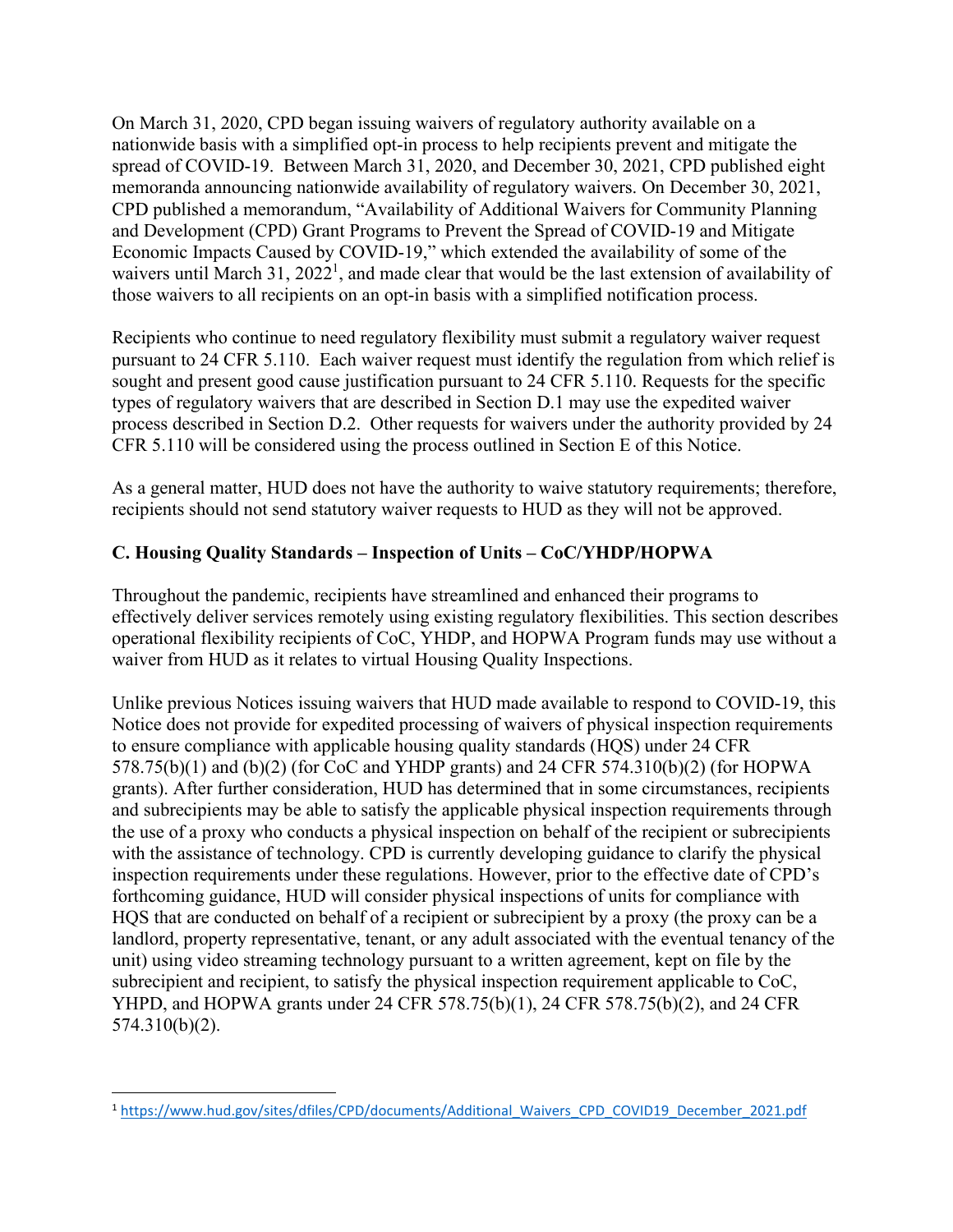On March 31, 2020, CPD began issuing waivers of regulatory authority available on a nationwide basis with a simplified opt-in process to help recipients prevent and mitigate the spread of COVID-19. Between March 31, 2020, and December 30, 2021, CPD published eight memoranda announcing nationwide availability of regulatory waivers. On December 30, 2021, CPD published a memorandum, "Availability of Additional Waivers for Community Planning and Development (CPD) Grant Programs to Prevent the Spread of COVID-19 and Mitigate Economic Impacts Caused by COVID-19," which extended the availability of some of the waivers until March 31,  $2022<sup>1</sup>$  $2022<sup>1</sup>$ , and made clear that would be the last extension of availability of those waivers to all recipients on an opt-in basis with a simplified notification process.

Recipients who continue to need regulatory flexibility must submit a regulatory waiver request pursuant to 24 CFR 5.110. Each waiver request must identify the regulation from which relief is sought and present good cause justification pursuant to 24 CFR 5.110. Requests for the specific types of regulatory waivers that are described in Section D.1 may use the expedited waiver process described in Section D.2. Other requests for waivers under the authority provided by 24 CFR 5.110 will be considered using the process outlined in Section E of this Notice.

As a general matter, HUD does not have the authority to waive statutory requirements; therefore, recipients should not send statutory waiver requests to HUD as they will not be approved.

## **C. Housing Quality Standards – Inspection of Units – CoC/YHDP/HOPWA**

Throughout the pandemic, recipients have streamlined and enhanced their programs to effectively deliver services remotely using existing regulatory flexibilities. This section describes operational flexibility recipients of CoC, YHDP, and HOPWA Program funds may use without a waiver from HUD as it relates to virtual Housing Quality Inspections.

Unlike previous Notices issuing waivers that HUD made available to respond to COVID-19, this Notice does not provide for expedited processing of waivers of physical inspection requirements to ensure compliance with applicable housing quality standards (HQS) under 24 CFR 578.75(b)(1) and (b)(2) (for CoC and YHDP grants) and 24 CFR 574.310(b)(2) (for HOPWA grants). After further consideration, HUD has determined that in some circumstances, recipients and subrecipients may be able to satisfy the applicable physical inspection requirements through the use of a proxy who conducts a physical inspection on behalf of the recipient or subrecipients with the assistance of technology. CPD is currently developing guidance to clarify the physical inspection requirements under these regulations. However, prior to the effective date of CPD's forthcoming guidance, HUD will consider physical inspections of units for compliance with HQS that are conducted on behalf of a recipient or subrecipient by a proxy (the proxy can be a landlord, property representative, tenant, or any adult associated with the eventual tenancy of the unit) using video streaming technology pursuant to a written agreement, kept on file by the subrecipient and recipient, to satisfy the physical inspection requirement applicable to CoC, YHPD, and HOPWA grants under 24 CFR 578.75(b)(1), 24 CFR 578.75(b)(2), and 24 CFR 574.310(b)(2).

<span id="page-1-0"></span><sup>1</sup> [https://www.hud.gov/sites/dfiles/CPD/documents/Additional\\_Waivers\\_CPD\\_COVID19\\_December\\_2021.pdf](https://www.hud.gov/sites/dfiles/CPD/documents/Additional_Waivers_CPD_COVID19_December_2021.pdf)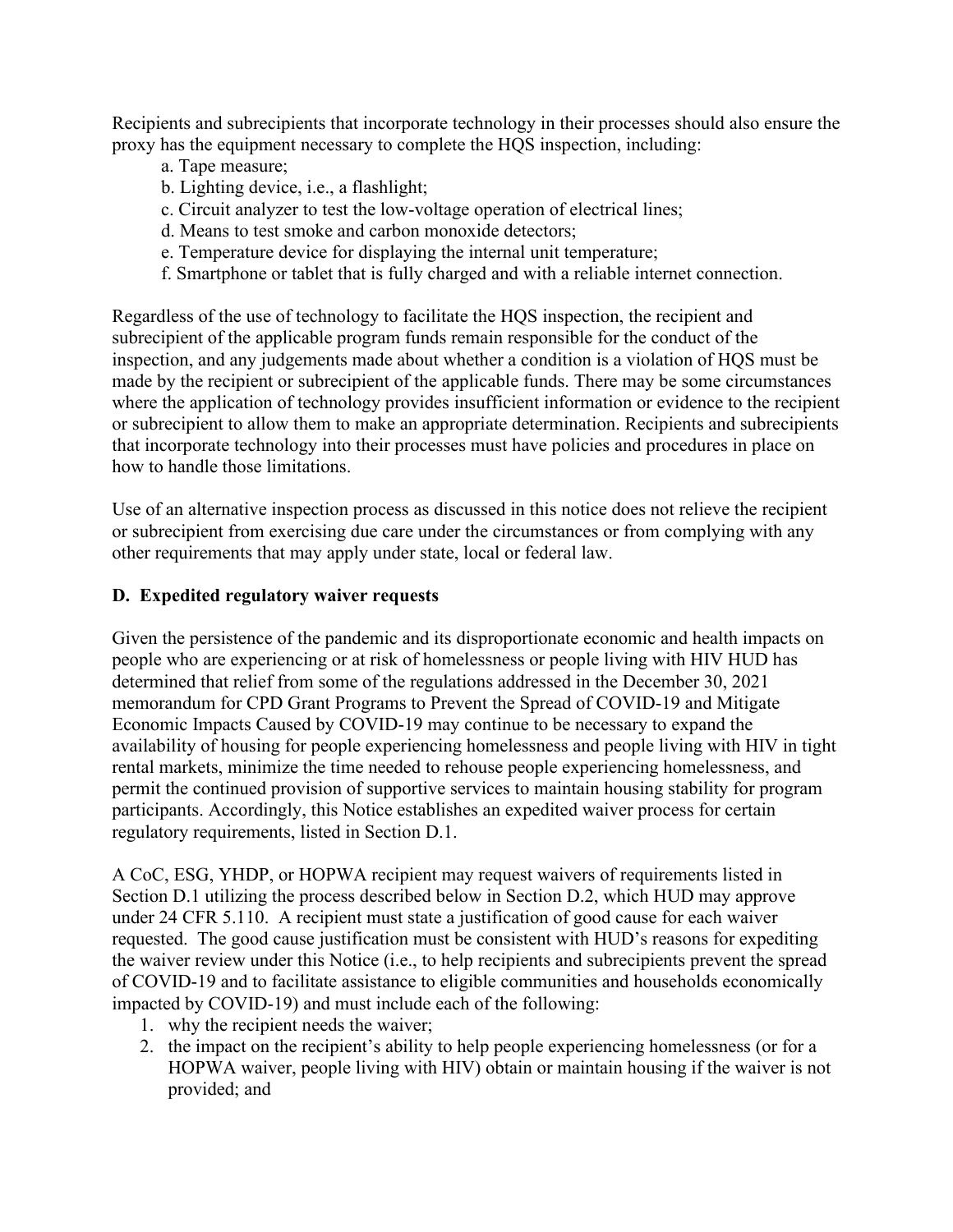Recipients and subrecipients that incorporate technology in their processes should also ensure the proxy has the equipment necessary to complete the HQS inspection, including:

- a. Tape measure;
- b. Lighting device, i.e., a flashlight;
- c. Circuit analyzer to test the low-voltage operation of electrical lines;
- d. Means to test smoke and carbon monoxide detectors;
- e. Temperature device for displaying the internal unit temperature;
- f. Smartphone or tablet that is fully charged and with a reliable internet connection.

Regardless of the use of technology to facilitate the HQS inspection, the recipient and subrecipient of the applicable program funds remain responsible for the conduct of the inspection, and any judgements made about whether a condition is a violation of HQS must be made by the recipient or subrecipient of the applicable funds. There may be some circumstances where the application of technology provides insufficient information or evidence to the recipient or subrecipient to allow them to make an appropriate determination. Recipients and subrecipients that incorporate technology into their processes must have policies and procedures in place on how to handle those limitations.

Use of an alternative inspection process as discussed in this notice does not relieve the recipient or subrecipient from exercising due care under the circumstances or from complying with any other requirements that may apply under state, local or federal law.

## **D. Expedited regulatory waiver requests**

Given the persistence of the pandemic and its disproportionate economic and health impacts on people who are experiencing or at risk of homelessness or people living with HIV HUD has determined that relief from some of the regulations addressed in the December 30, 2021 memorandum for CPD Grant Programs to Prevent the Spread of COVID-19 and Mitigate Economic Impacts Caused by COVID-19 may continue to be necessary to expand the availability of housing for people experiencing homelessness and people living with HIV in tight rental markets, minimize the time needed to rehouse people experiencing homelessness, and permit the continued provision of supportive services to maintain housing stability for program participants. Accordingly, this Notice establishes an expedited waiver process for certain regulatory requirements, listed in Section D.1.

A CoC, ESG, YHDP, or HOPWA recipient may request waivers of requirements listed in Section D.1 utilizing the process described below in Section D.2, which HUD may approve under 24 CFR 5.110. A recipient must state a justification of good cause for each waiver requested. The good cause justification must be consistent with HUD's reasons for expediting the waiver review under this Notice (i.e., to help recipients and subrecipients prevent the spread of COVID-19 and to facilitate assistance to eligible communities and households economically impacted by COVID-19) and must include each of the following:

- 1. why the recipient needs the waiver;
- 2. the impact on the recipient's ability to help people experiencing homelessness (or for a HOPWA waiver, people living with HIV) obtain or maintain housing if the waiver is not provided; and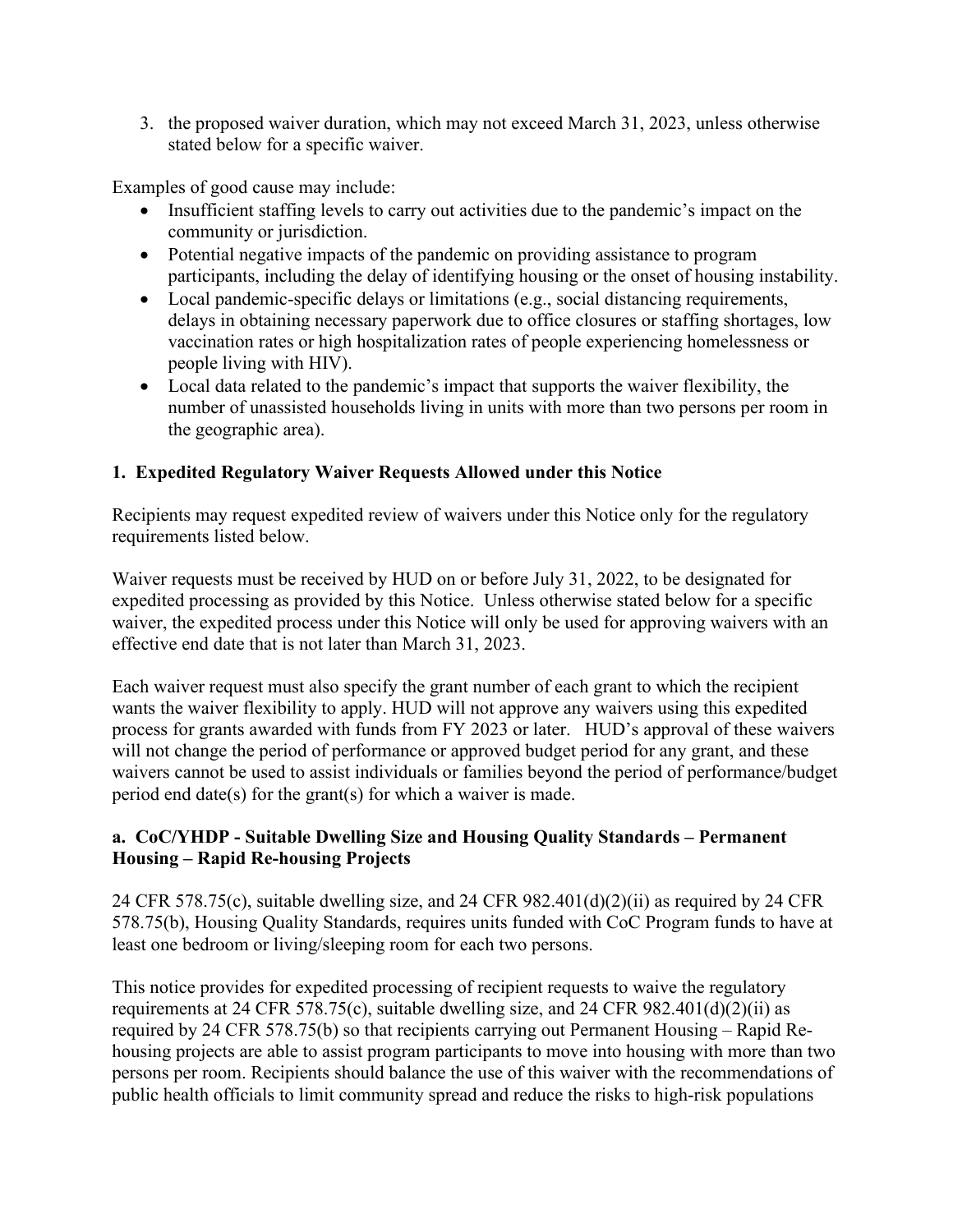3. the proposed waiver duration, which may not exceed March 31, 2023, unless otherwise stated below for a specific waiver.

Examples of good cause may include:

- Insufficient staffing levels to carry out activities due to the pandemic's impact on the community or jurisdiction.
- Potential negative impacts of the pandemic on providing assistance to program participants, including the delay of identifying housing or the onset of housing instability.
- Local pandemic-specific delays or limitations (e.g., social distancing requirements, delays in obtaining necessary paperwork due to office closures or staffing shortages, low vaccination rates or high hospitalization rates of people experiencing homelessness or people living with HIV).
- Local data related to the pandemic's impact that supports the waiver flexibility, the number of unassisted households living in units with more than two persons per room in the geographic area).

#### **1. Expedited Regulatory Waiver Requests Allowed under this Notice**

Recipients may request expedited review of waivers under this Notice only for the regulatory requirements listed below.

Waiver requests must be received by HUD on or before July 31, 2022, to be designated for expedited processing as provided by this Notice. Unless otherwise stated below for a specific waiver, the expedited process under this Notice will only be used for approving waivers with an effective end date that is not later than March 31, 2023.

Each waiver request must also specify the grant number of each grant to which the recipient wants the waiver flexibility to apply. HUD will not approve any waivers using this expedited process for grants awarded with funds from FY 2023 or later. HUD's approval of these waivers will not change the period of performance or approved budget period for any grant, and these waivers cannot be used to assist individuals or families beyond the period of performance/budget period end date(s) for the grant(s) for which a waiver is made.

#### **a. CoC/YHDP - Suitable Dwelling Size and Housing Quality Standards – Permanent Housing – Rapid Re-housing Projects**

24 CFR 578.75(c), suitable dwelling size, and 24 CFR 982.401(d)(2)(ii) as required by 24 CFR 578.75(b), Housing Quality Standards, requires units funded with CoC Program funds to have at least one bedroom or living/sleeping room for each two persons.

This notice provides for expedited processing of recipient requests to waive the regulatory requirements at 24 CFR 578.75(c), suitable dwelling size, and 24 CFR 982.401(d)(2)(ii) as required by 24 CFR 578.75(b) so that recipients carrying out Permanent Housing – Rapid Rehousing projects are able to assist program participants to move into housing with more than two persons per room. Recipients should balance the use of this waiver with the recommendations of public health officials to limit community spread and reduce the risks to high-risk populations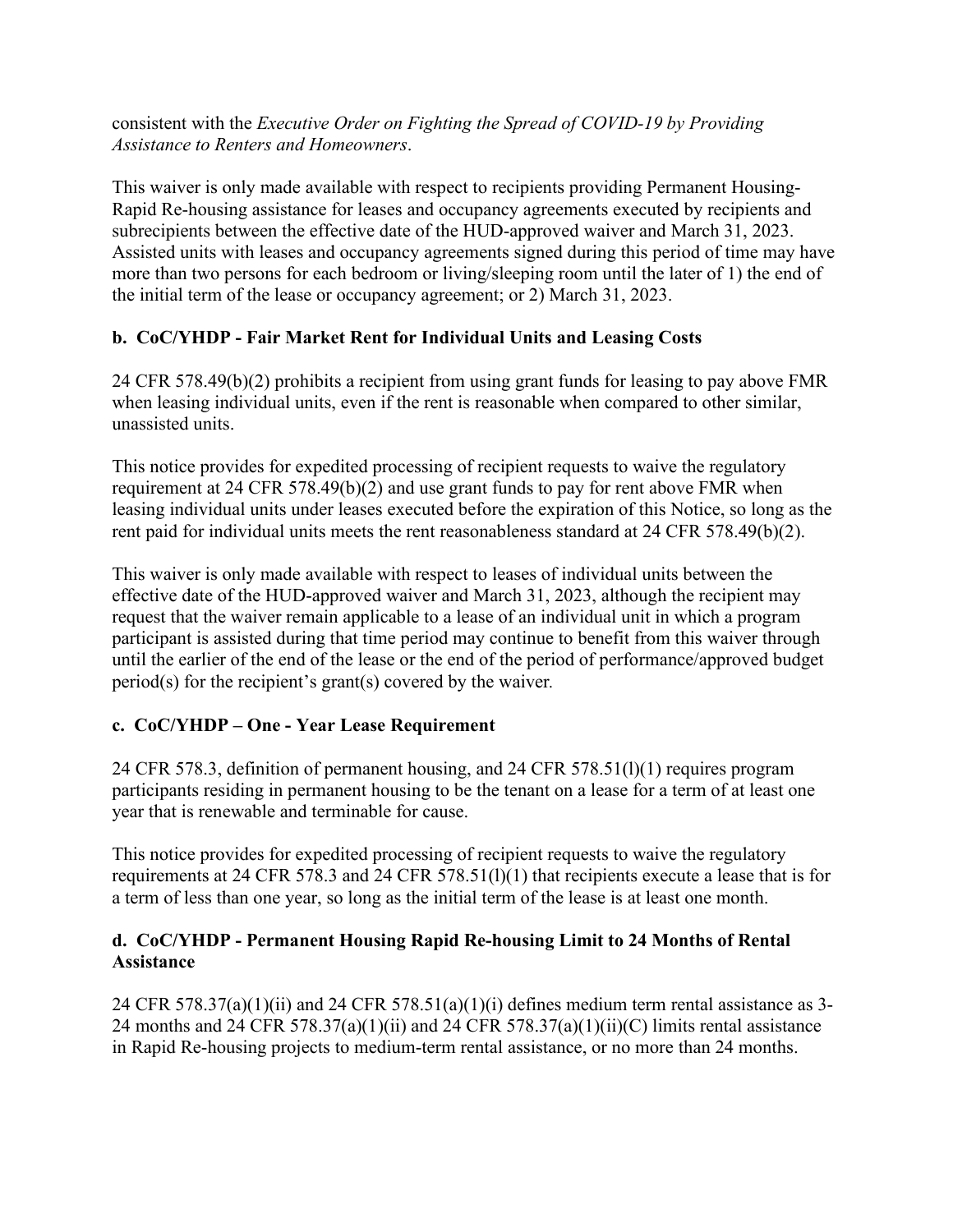consistent with the *Executive Order on Fighting the Spread of COVID-19 by Providing Assistance to Renters and Homeowners*.

This waiver is only made available with respect to recipients providing Permanent Housing-Rapid Re-housing assistance for leases and occupancy agreements executed by recipients and subrecipients between the effective date of the HUD-approved waiver and March 31, 2023. Assisted units with leases and occupancy agreements signed during this period of time may have more than two persons for each bedroom or living/sleeping room until the later of 1) the end of the initial term of the lease or occupancy agreement; or 2) March 31, 2023.

# **b. CoC/YHDP - Fair Market Rent for Individual Units and Leasing Costs**

24 CFR 578.49(b)(2) prohibits a recipient from using grant funds for leasing to pay above FMR when leasing individual units, even if the rent is reasonable when compared to other similar, unassisted units.

This notice provides for expedited processing of recipient requests to waive the regulatory requirement at 24 CFR 578.49(b)(2) and use grant funds to pay for rent above FMR when leasing individual units under leases executed before the expiration of this Notice, so long as the rent paid for individual units meets the rent reasonableness standard at 24 CFR 578.49(b)(2).

This waiver is only made available with respect to leases of individual units between the effective date of the HUD-approved waiver and March 31, 2023, although the recipient may request that the waiver remain applicable to a lease of an individual unit in which a program participant is assisted during that time period may continue to benefit from this waiver through until the earlier of the end of the lease or the end of the period of performance/approved budget period(s) for the recipient's grant(s) covered by the waiver*.* 

# **c. CoC/YHDP – One - Year Lease Requirement**

24 CFR 578.3, definition of permanent housing, and 24 CFR 578.51(l)(1) requires program participants residing in permanent housing to be the tenant on a lease for a term of at least one year that is renewable and terminable for cause.

This notice provides for expedited processing of recipient requests to waive the regulatory requirements at 24 CFR 578.3 and 24 CFR 578.51(l)(1) that recipients execute a lease that is for a term of less than one year, so long as the initial term of the lease is at least one month.

## **d. CoC/YHDP - Permanent Housing Rapid Re-housing Limit to 24 Months of Rental Assistance**

24 CFR 578.37(a)(1)(ii) and 24 CFR 578.51(a)(1)(i) defines medium term rental assistance as 3-24 months and 24 CFR 578.37(a)(1)(ii) and 24 CFR 578.37(a)(1)(ii)(C) limits rental assistance in Rapid Re-housing projects to medium-term rental assistance, or no more than 24 months.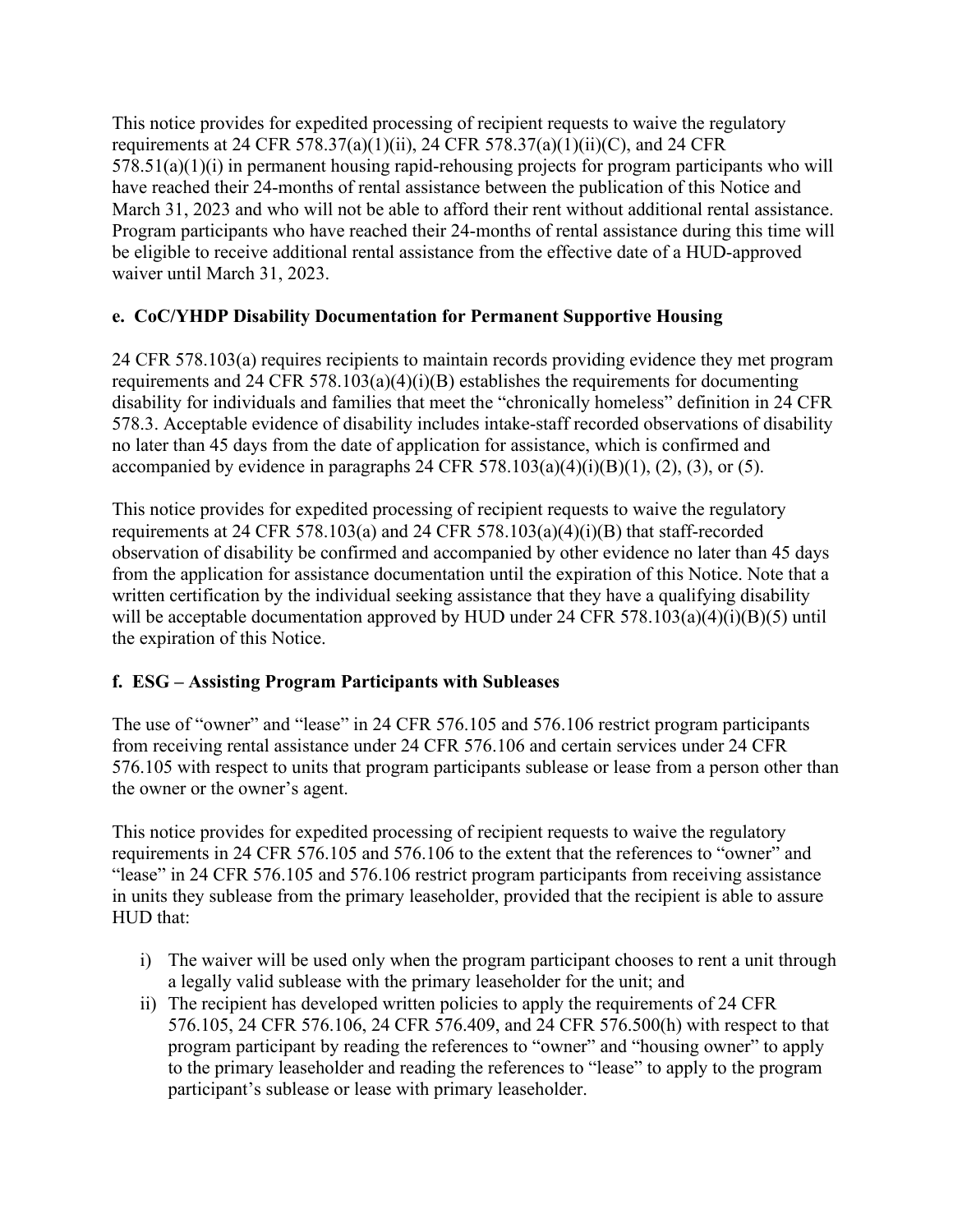This notice provides for expedited processing of recipient requests to waive the regulatory requirements at 24 CFR 578.37(a)(1)(ii), 24 CFR 578.37(a)(1)(ii)(C), and 24 CFR  $578.51(a)(1)(i)$  in permanent housing rapid-rehousing projects for program participants who will have reached their 24-months of rental assistance between the publication of this Notice and March 31, 2023 and who will not be able to afford their rent without additional rental assistance. Program participants who have reached their 24-months of rental assistance during this time will be eligible to receive additional rental assistance from the effective date of a HUD-approved waiver until March 31, 2023.

# **e. CoC/YHDP Disability Documentation for Permanent Supportive Housing**

24 CFR 578.103(a) requires recipients to maintain records providing evidence they met program requirements and 24 CFR 578.103(a)(4)(i)(B) establishes the requirements for documenting disability for individuals and families that meet the "chronically homeless" definition in 24 CFR 578.3. Acceptable evidence of disability includes intake-staff recorded observations of disability no later than 45 days from the date of application for assistance, which is confirmed and accompanied by evidence in paragraphs 24 CFR 578.103(a)(4)(i)(B)(1), (2), (3), or (5).

This notice provides for expedited processing of recipient requests to waive the regulatory requirements at 24 CFR 578.103(a) and 24 CFR 578.103(a)(4)(i)(B) that staff-recorded observation of disability be confirmed and accompanied by other evidence no later than 45 days from the application for assistance documentation until the expiration of this Notice. Note that a written certification by the individual seeking assistance that they have a qualifying disability will be acceptable documentation approved by HUD under 24 CFR 578.103(a)(4)(i)(B)(5) until the expiration of this Notice.

#### **f. ESG – Assisting Program Participants with Subleases**

The use of "owner" and "lease" in 24 CFR 576.105 and 576.106 restrict program participants from receiving rental assistance under 24 CFR 576.106 and certain services under 24 CFR 576.105 with respect to units that program participants sublease or lease from a person other than the owner or the owner's agent.

This notice provides for expedited processing of recipient requests to waive the regulatory requirements in 24 CFR 576.105 and 576.106 to the extent that the references to "owner" and "lease" in 24 CFR 576.105 and 576.106 restrict program participants from receiving assistance in units they sublease from the primary leaseholder, provided that the recipient is able to assure HUD that:

- i) The waiver will be used only when the program participant chooses to rent a unit through a legally valid sublease with the primary leaseholder for the unit; and
- ii) The recipient has developed written policies to apply the requirements of 24 CFR 576.105, 24 CFR 576.106, 24 CFR 576.409, and 24 CFR 576.500(h) with respect to that program participant by reading the references to "owner" and "housing owner" to apply to the primary leaseholder and reading the references to "lease" to apply to the program participant's sublease or lease with primary leaseholder.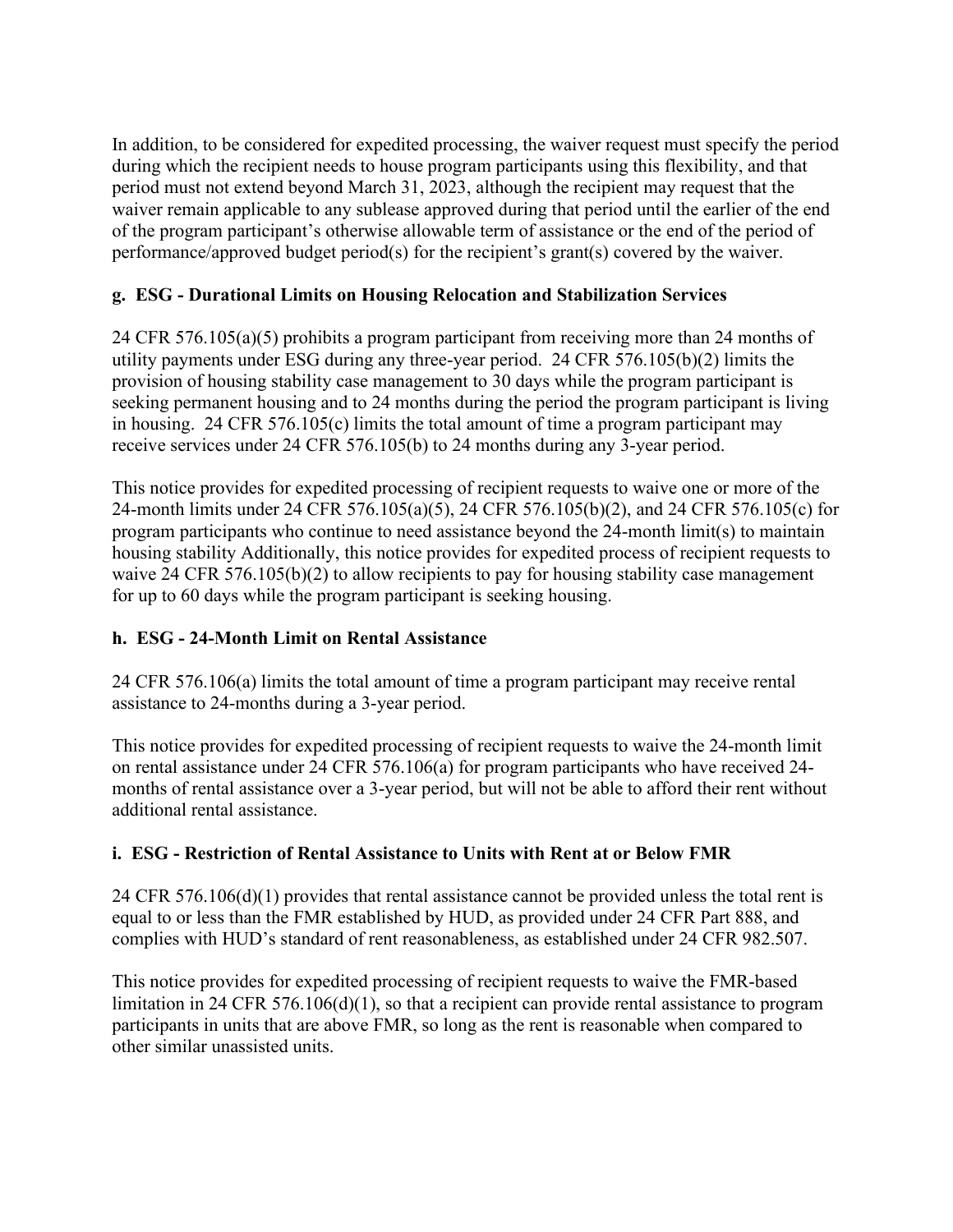In addition, to be considered for expedited processing, the waiver request must specify the period during which the recipient needs to house program participants using this flexibility, and that period must not extend beyond March 31, 2023, although the recipient may request that the waiver remain applicable to any sublease approved during that period until the earlier of the end of the program participant's otherwise allowable term of assistance or the end of the period of performance/approved budget period(s) for the recipient's grant(s) covered by the waiver.

## **g. ESG - Durational Limits on Housing Relocation and Stabilization Services**

24 CFR 576.105(a)(5) prohibits a program participant from receiving more than 24 months of utility payments under ESG during any three-year period. 24 CFR 576.105(b)(2) limits the provision of housing stability case management to 30 days while the program participant is seeking permanent housing and to 24 months during the period the program participant is living in housing. 24 CFR 576.105(c) limits the total amount of time a program participant may receive services under 24 CFR 576.105(b) to 24 months during any 3-year period.

This notice provides for expedited processing of recipient requests to waive one or more of the 24-month limits under 24 CFR 576.105(a)(5), 24 CFR 576.105(b)(2), and 24 CFR 576.105(c) for program participants who continue to need assistance beyond the 24-month limit(s) to maintain housing stability Additionally, this notice provides for expedited process of recipient requests to waive 24 CFR 576.105(b)(2) to allow recipients to pay for housing stability case management for up to 60 days while the program participant is seeking housing.

#### **h. ESG - 24-Month Limit on Rental Assistance**

24 CFR 576.106(a) limits the total amount of time a program participant may receive rental assistance to 24-months during a 3-year period.

This notice provides for expedited processing of recipient requests to waive the 24-month limit on rental assistance under 24 CFR 576.106(a) for program participants who have received 24 months of rental assistance over a 3-year period, but will not be able to afford their rent without additional rental assistance.

# **i. ESG - Restriction of Rental Assistance to Units with Rent at or Below FMR**

24 CFR 576.106(d)(1) provides that rental assistance cannot be provided unless the total rent is equal to or less than the FMR established by HUD, as provided under 24 CFR Part 888, and complies with HUD's standard of rent reasonableness, as established under 24 CFR 982.507.

This notice provides for expedited processing of recipient requests to waive the FMR-based limitation in 24 CFR 576.106(d)(1), so that a recipient can provide rental assistance to program participants in units that are above FMR, so long as the rent is reasonable when compared to other similar unassisted units.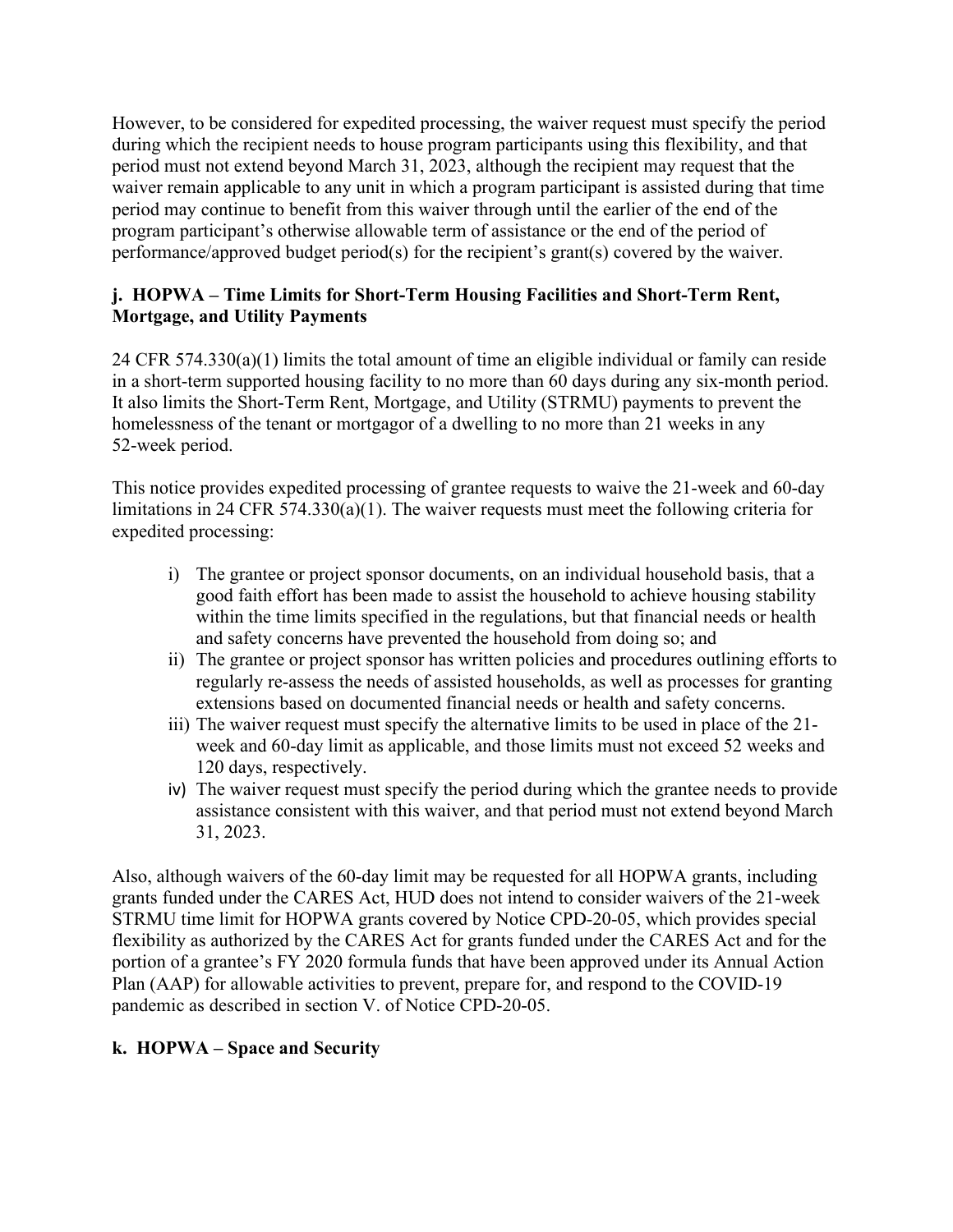However, to be considered for expedited processing, the waiver request must specify the period during which the recipient needs to house program participants using this flexibility, and that period must not extend beyond March 31, 2023, although the recipient may request that the waiver remain applicable to any unit in which a program participant is assisted during that time period may continue to benefit from this waiver through until the earlier of the end of the program participant's otherwise allowable term of assistance or the end of the period of performance/approved budget period(s) for the recipient's grant(s) covered by the waiver.

## **j. HOPWA – Time Limits for Short-Term Housing Facilities and Short-Term Rent, Mortgage, and Utility Payments**

24 CFR 574.330(a)(1) limits the total amount of time an eligible individual or family can reside in a short-term supported housing facility to no more than 60 days during any six-month period. It also limits the Short-Term Rent, Mortgage, and Utility (STRMU) payments to prevent the homelessness of the tenant or mortgagor of a dwelling to no more than 21 weeks in any 52-week period.

This notice provides expedited processing of grantee requests to waive the 21-week and 60-day limitations in 24 CFR 574.330(a)(1). The waiver requests must meet the following criteria for expedited processing:

- i) The grantee or project sponsor documents, on an individual household basis, that a good faith effort has been made to assist the household to achieve housing stability within the time limits specified in the regulations, but that financial needs or health and safety concerns have prevented the household from doing so; and
- ii) The grantee or project sponsor has written policies and procedures outlining efforts to regularly re-assess the needs of assisted households, as well as processes for granting extensions based on documented financial needs or health and safety concerns.
- iii) The waiver request must specify the alternative limits to be used in place of the 21 week and 60-day limit as applicable, and those limits must not exceed 52 weeks and 120 days, respectively.
- iv) The waiver request must specify the period during which the grantee needs to provide assistance consistent with this waiver, and that period must not extend beyond March 31, 2023.

Also, although waivers of the 60-day limit may be requested for all HOPWA grants, including grants funded under the CARES Act, HUD does not intend to consider waivers of the 21-week STRMU time limit for HOPWA grants covered by Notice CPD-20-05, which provides special flexibility as authorized by the CARES Act for grants funded under the CARES Act and for the portion of a grantee's FY 2020 formula funds that have been approved under its Annual Action Plan (AAP) for allowable activities to prevent, prepare for, and respond to the COVID-19 pandemic as described in section V. of Notice CPD-20-05.

# **k. HOPWA – Space and Security**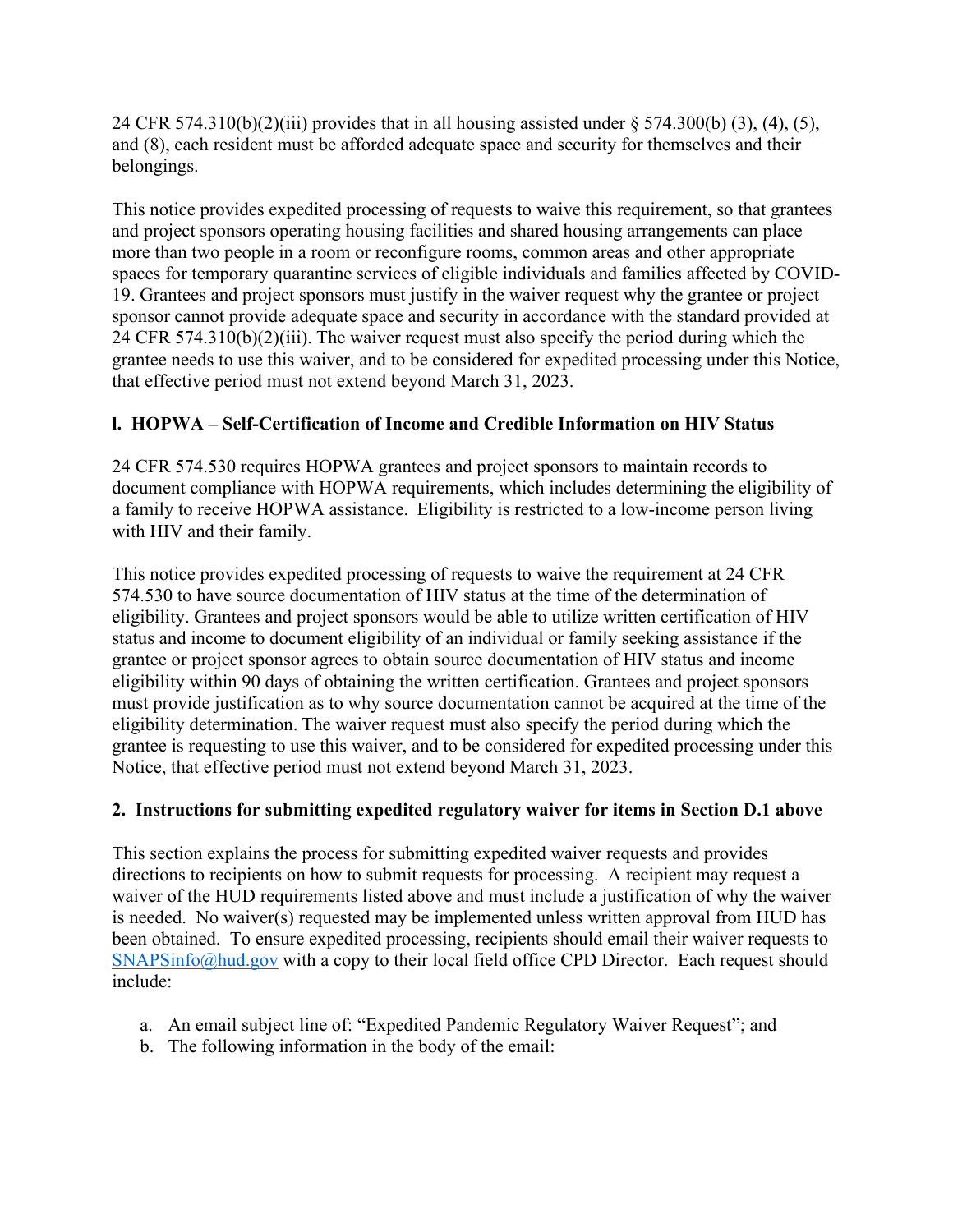24 CFR 574.310(b)(2)(iii) provides that in all housing assisted under § 574.300(b) (3), (4), (5), and (8), each resident must be afforded adequate space and security for themselves and their belongings.

This notice provides expedited processing of requests to waive this requirement, so that grantees and project sponsors operating housing facilities and shared housing arrangements can place more than two people in a room or reconfigure rooms, common areas and other appropriate spaces for temporary quarantine services of eligible individuals and families affected by COVID-19. Grantees and project sponsors must justify in the waiver request why the grantee or project sponsor cannot provide adequate space and security in accordance with the standard provided at 24 CFR 574.310(b)(2)(iii). The waiver request must also specify the period during which the grantee needs to use this waiver, and to be considered for expedited processing under this Notice, that effective period must not extend beyond March 31, 2023.

# **l. HOPWA – Self-Certification of Income and Credible Information on HIV Status**

24 CFR 574.530 requires HOPWA grantees and project sponsors to maintain records to document compliance with HOPWA requirements, which includes determining the eligibility of a family to receive HOPWA assistance. Eligibility is restricted to a low-income person living with HIV and their family.

This notice provides expedited processing of requests to waive the requirement at 24 CFR 574.530 to have source documentation of HIV status at the time of the determination of eligibility. Grantees and project sponsors would be able to utilize written certification of HIV status and income to document eligibility of an individual or family seeking assistance if the grantee or project sponsor agrees to obtain source documentation of HIV status and income eligibility within 90 days of obtaining the written certification. Grantees and project sponsors must provide justification as to why source documentation cannot be acquired at the time of the eligibility determination. The waiver request must also specify the period during which the grantee is requesting to use this waiver, and to be considered for expedited processing under this Notice, that effective period must not extend beyond March 31, 2023.

# **2. Instructions for submitting expedited regulatory waiver for items in Section D.1 above**

This section explains the process for submitting expedited waiver requests and provides directions to recipients on how to submit requests for processing. A recipient may request a waiver of the HUD requirements listed above and must include a justification of why the waiver is needed. No waiver(s) requested may be implemented unless written approval from HUD has been obtained. To ensure expedited processing, recipients should email their waiver requests to [SNAPSinfo@hud.gov](mailto:SNAPSinfo@hud.gov) with a copy to their local field office CPD Director. Each request should include:

- a. An email subject line of: "Expedited Pandemic Regulatory Waiver Request"; and
- b. The following information in the body of the email: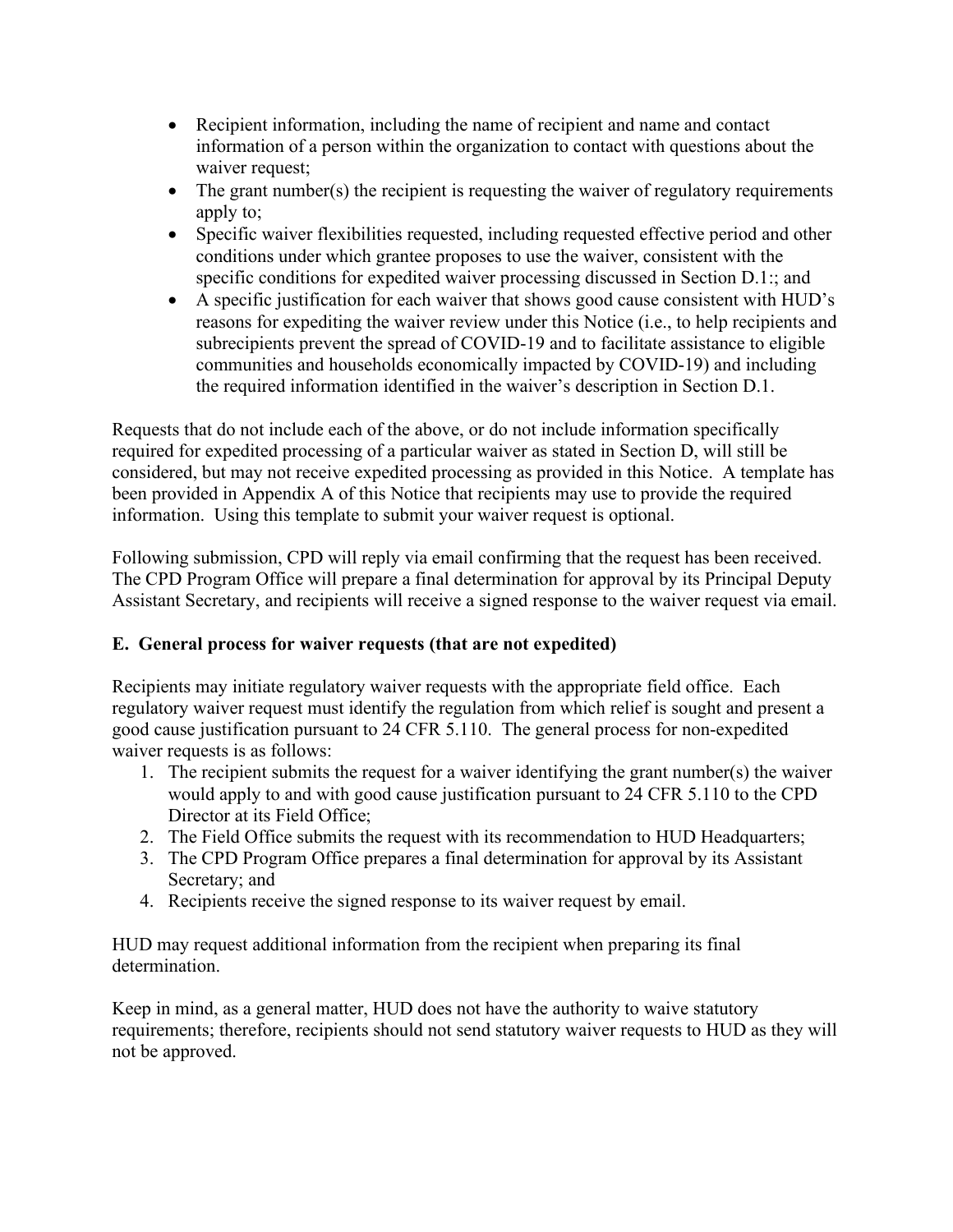- Recipient information, including the name of recipient and name and contact information of a person within the organization to contact with questions about the waiver request;
- $\bullet$  The grant number(s) the recipient is requesting the waiver of regulatory requirements apply to;
- Specific waiver flexibilities requested, including requested effective period and other conditions under which grantee proposes to use the waiver, consistent with the specific conditions for expedited waiver processing discussed in Section D.1:; and
- A specific justification for each waiver that shows good cause consistent with HUD's reasons for expediting the waiver review under this Notice (i.e., to help recipients and subrecipients prevent the spread of COVID-19 and to facilitate assistance to eligible communities and households economically impacted by COVID-19) and including the required information identified in the waiver's description in Section D.1.

Requests that do not include each of the above, or do not include information specifically required for expedited processing of a particular waiver as stated in Section D, will still be considered, but may not receive expedited processing as provided in this Notice. A template has been provided in Appendix A of this Notice that recipients may use to provide the required information. Using this template to submit your waiver request is optional.

Following submission, CPD will reply via email confirming that the request has been received. The CPD Program Office will prepare a final determination for approval by its Principal Deputy Assistant Secretary, and recipients will receive a signed response to the waiver request via email.

#### **E. General process for waiver requests (that are not expedited)**

Recipients may initiate regulatory waiver requests with the appropriate field office. Each regulatory waiver request must identify the regulation from which relief is sought and present a good cause justification pursuant to 24 CFR 5.110. The general process for non-expedited waiver requests is as follows:

- 1. The recipient submits the request for a waiver identifying the grant number(s) the waiver would apply to and with good cause justification pursuant to 24 CFR 5.110 to the CPD Director at its Field Office;
- 2. The Field Office submits the request with its recommendation to HUD Headquarters;
- 3. The CPD Program Office prepares a final determination for approval by its Assistant Secretary; and
- 4. Recipients receive the signed response to its waiver request by email.

HUD may request additional information from the recipient when preparing its final determination.

Keep in mind, as a general matter, HUD does not have the authority to waive statutory requirements; therefore, recipients should not send statutory waiver requests to HUD as they will not be approved.